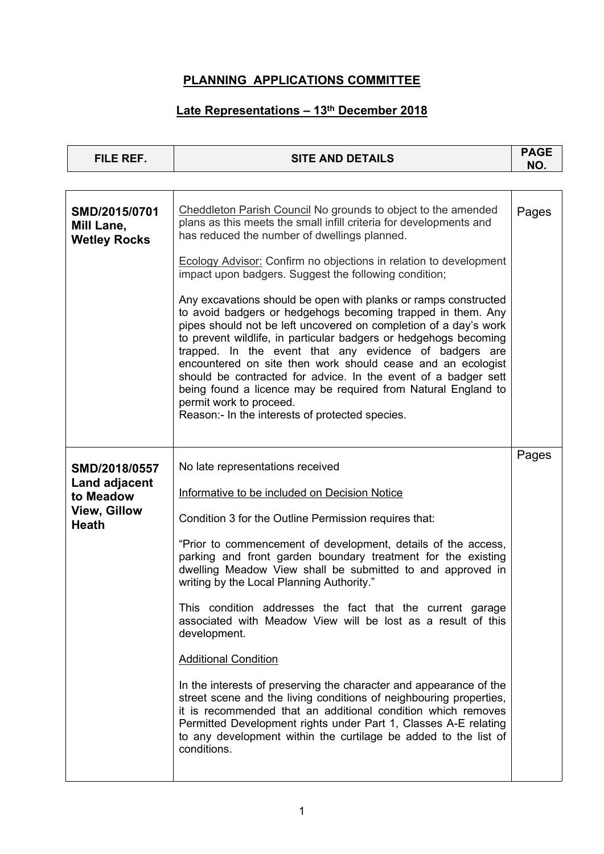| <b>FILE REF.</b>                                   | <b>SITE AND DETAILS</b>                                                                                                                                                                                                                                                                                                                                                                                                                                                                                                                                                                                          |       |  |  |  |  |
|----------------------------------------------------|------------------------------------------------------------------------------------------------------------------------------------------------------------------------------------------------------------------------------------------------------------------------------------------------------------------------------------------------------------------------------------------------------------------------------------------------------------------------------------------------------------------------------------------------------------------------------------------------------------------|-------|--|--|--|--|
|                                                    |                                                                                                                                                                                                                                                                                                                                                                                                                                                                                                                                                                                                                  | NO.   |  |  |  |  |
| SMD/2015/0701<br>Mill Lane,<br><b>Wetley Rocks</b> | Cheddleton Parish Council No grounds to object to the amended<br>plans as this meets the small infill criteria for developments and<br>has reduced the number of dwellings planned.                                                                                                                                                                                                                                                                                                                                                                                                                              |       |  |  |  |  |
|                                                    | <b>Ecology Advisor: Confirm no objections in relation to development</b><br>impact upon badgers. Suggest the following condition;                                                                                                                                                                                                                                                                                                                                                                                                                                                                                |       |  |  |  |  |
|                                                    | Any excavations should be open with planks or ramps constructed<br>to avoid badgers or hedgehogs becoming trapped in them. Any<br>pipes should not be left uncovered on completion of a day's work<br>to prevent wildlife, in particular badgers or hedgehogs becoming<br>trapped. In the event that any evidence of badgers are<br>encountered on site then work should cease and an ecologist<br>should be contracted for advice. In the event of a badger sett<br>being found a licence may be required from Natural England to<br>permit work to proceed.<br>Reason:- In the interests of protected species. |       |  |  |  |  |
|                                                    |                                                                                                                                                                                                                                                                                                                                                                                                                                                                                                                                                                                                                  | Pages |  |  |  |  |
| SMD/2018/0557<br>Land adjacent<br>to Meadow        | No late representations received<br>Informative to be included on Decision Notice                                                                                                                                                                                                                                                                                                                                                                                                                                                                                                                                |       |  |  |  |  |
| <b>View, Gillow</b><br><b>Heath</b>                | Condition 3 for the Outline Permission requires that:                                                                                                                                                                                                                                                                                                                                                                                                                                                                                                                                                            |       |  |  |  |  |
|                                                    | "Prior to commencement of development, details of the access,<br>parking and front garden boundary treatment for the existing<br>dwelling Meadow View shall be submitted to and approved in<br>writing by the Local Planning Authority."                                                                                                                                                                                                                                                                                                                                                                         |       |  |  |  |  |
|                                                    | This condition addresses the fact that the current garage<br>associated with Meadow View will be lost as a result of this<br>development.                                                                                                                                                                                                                                                                                                                                                                                                                                                                        |       |  |  |  |  |
|                                                    | <b>Additional Condition</b>                                                                                                                                                                                                                                                                                                                                                                                                                                                                                                                                                                                      |       |  |  |  |  |
|                                                    | In the interests of preserving the character and appearance of the<br>street scene and the living conditions of neighbouring properties,<br>it is recommended that an additional condition which removes<br>Permitted Development rights under Part 1, Classes A-E relating<br>to any development within the curtilage be added to the list of<br>conditions.                                                                                                                                                                                                                                                    |       |  |  |  |  |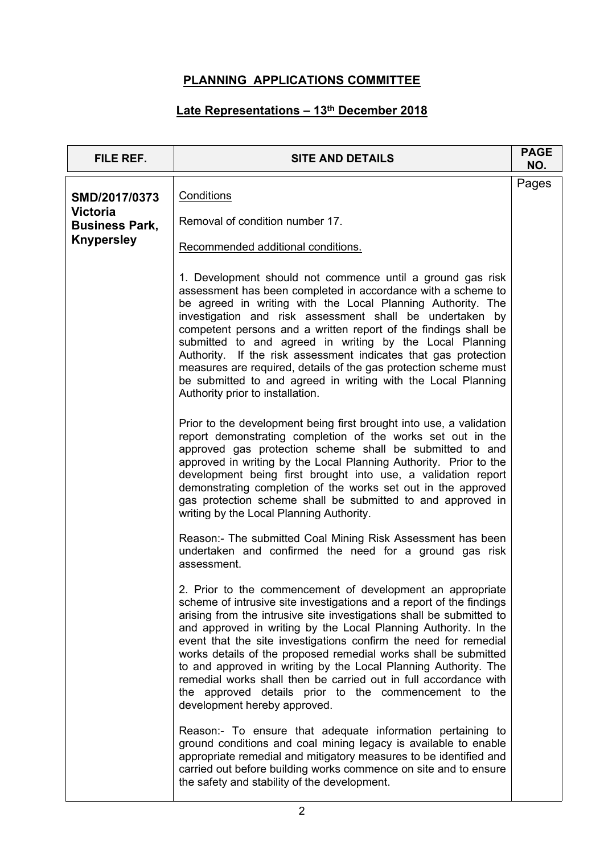| FILE REF.                                | <b>SITE AND DETAILS</b>                                                                                                                                                                                                                                                                                                                                                                                                                                                                                                                                                                                                                              | <b>PAGE</b><br>NO. |
|------------------------------------------|------------------------------------------------------------------------------------------------------------------------------------------------------------------------------------------------------------------------------------------------------------------------------------------------------------------------------------------------------------------------------------------------------------------------------------------------------------------------------------------------------------------------------------------------------------------------------------------------------------------------------------------------------|--------------------|
| SMD/2017/0373                            | Conditions                                                                                                                                                                                                                                                                                                                                                                                                                                                                                                                                                                                                                                           |                    |
| <b>Victoria</b><br><b>Business Park,</b> | Removal of condition number 17.                                                                                                                                                                                                                                                                                                                                                                                                                                                                                                                                                                                                                      |                    |
| <b>Knypersley</b>                        | Recommended additional conditions.                                                                                                                                                                                                                                                                                                                                                                                                                                                                                                                                                                                                                   |                    |
|                                          | 1. Development should not commence until a ground gas risk<br>assessment has been completed in accordance with a scheme to<br>be agreed in writing with the Local Planning Authority. The<br>investigation and risk assessment shall be undertaken by<br>competent persons and a written report of the findings shall be<br>submitted to and agreed in writing by the Local Planning<br>Authority. If the risk assessment indicates that gas protection<br>measures are required, details of the gas protection scheme must<br>be submitted to and agreed in writing with the Local Planning<br>Authority prior to installation.                     |                    |
|                                          | Prior to the development being first brought into use, a validation<br>report demonstrating completion of the works set out in the<br>approved gas protection scheme shall be submitted to and<br>approved in writing by the Local Planning Authority. Prior to the<br>development being first brought into use, a validation report<br>demonstrating completion of the works set out in the approved<br>gas protection scheme shall be submitted to and approved in<br>writing by the Local Planning Authority.                                                                                                                                     |                    |
|                                          | Reason:- The submitted Coal Mining Risk Assessment has been<br>undertaken and confirmed the need for a ground gas risk<br>assessment.                                                                                                                                                                                                                                                                                                                                                                                                                                                                                                                |                    |
|                                          | 2. Prior to the commencement of development an appropriate<br>scheme of intrusive site investigations and a report of the findings<br>arising from the intrusive site investigations shall be submitted to<br>and approved in writing by the Local Planning Authority. In the<br>event that the site investigations confirm the need for remedial<br>works details of the proposed remedial works shall be submitted<br>to and approved in writing by the Local Planning Authority. The<br>remedial works shall then be carried out in full accordance with<br>the approved details prior to the commencement to the<br>development hereby approved. |                    |
|                                          | Reason:- To ensure that adequate information pertaining to<br>ground conditions and coal mining legacy is available to enable<br>appropriate remedial and mitigatory measures to be identified and<br>carried out before building works commence on site and to ensure<br>the safety and stability of the development.                                                                                                                                                                                                                                                                                                                               |                    |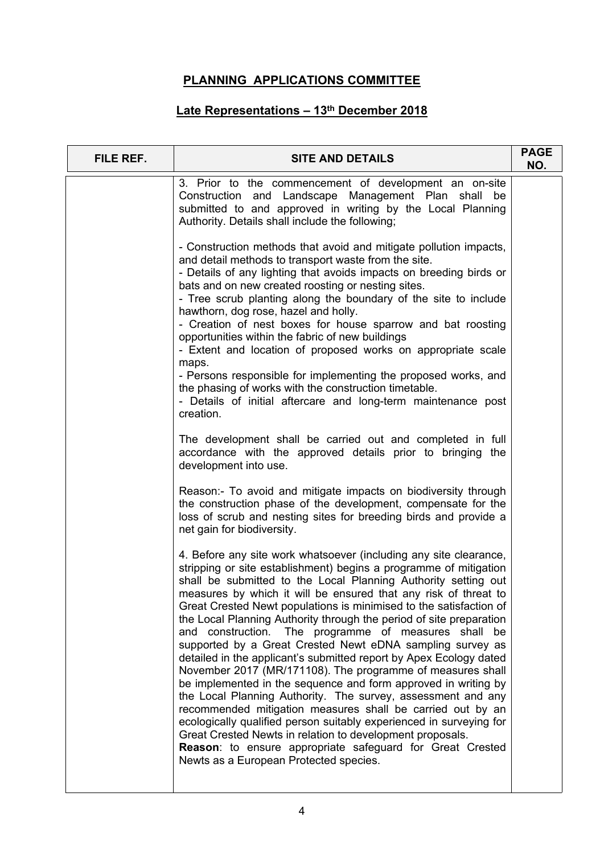| 3. Prior to the commencement of development an on-site<br>Construction and Landscape Management Plan shall be<br>submitted to and approved in writing by the Local Planning<br>Authority. Details shall include the following;<br>- Construction methods that avoid and mitigate pollution impacts,<br>and detail methods to transport waste from the site.<br>- Details of any lighting that avoids impacts on breeding birds or<br>bats and on new created roosting or nesting sites.<br>- Tree scrub planting along the boundary of the site to include<br>hawthorn, dog rose, hazel and holly.<br>- Creation of nest boxes for house sparrow and bat roosting<br>opportunities within the fabric of new buildings<br>- Extent and location of proposed works on appropriate scale<br>maps.<br>- Persons responsible for implementing the proposed works, and<br>the phasing of works with the construction timetable.<br>- Details of initial aftercare and long-term maintenance post<br>creation.<br>The development shall be carried out and completed in full<br>accordance with the approved details prior to bringing the<br>development into use.<br>Reason:- To avoid and mitigate impacts on biodiversity through<br>the construction phase of the development, compensate for the<br>loss of scrub and nesting sites for breeding birds and provide a<br>net gain for biodiversity.<br>4. Before any site work whatsoever (including any site clearance,<br>stripping or site establishment) begins a programme of mitigation<br>shall be submitted to the Local Planning Authority setting out<br>measures by which it will be ensured that any risk of threat to<br>Great Crested Newt populations is minimised to the satisfaction of<br>the Local Planning Authority through the period of site preparation<br>and construction. The programme of measures shall be<br>supported by a Great Crested Newt eDNA sampling survey as<br>detailed in the applicant's submitted report by Apex Ecology dated<br>November 2017 (MR/171108). The programme of measures shall<br>be implemented in the sequence and form approved in writing by<br>the Local Planning Authority. The survey, assessment and any<br>recommended mitigation measures shall be carried out by an<br>ecologically qualified person suitably experienced in surveying for<br>Great Crested Newts in relation to development proposals.<br>Reason: to ensure appropriate safeguard for Great Crested<br>Newts as a European Protected species. | FILE REF. | <b>SITE AND DETAILS</b> | <b>PAGE</b><br>NO. |  |
|-----------------------------------------------------------------------------------------------------------------------------------------------------------------------------------------------------------------------------------------------------------------------------------------------------------------------------------------------------------------------------------------------------------------------------------------------------------------------------------------------------------------------------------------------------------------------------------------------------------------------------------------------------------------------------------------------------------------------------------------------------------------------------------------------------------------------------------------------------------------------------------------------------------------------------------------------------------------------------------------------------------------------------------------------------------------------------------------------------------------------------------------------------------------------------------------------------------------------------------------------------------------------------------------------------------------------------------------------------------------------------------------------------------------------------------------------------------------------------------------------------------------------------------------------------------------------------------------------------------------------------------------------------------------------------------------------------------------------------------------------------------------------------------------------------------------------------------------------------------------------------------------------------------------------------------------------------------------------------------------------------------------------------------------------------------------------------------------------------------------------------------------------------------------------------------------------------------------------------------------------------------------------------------------------------------------------------------------------------------------------------------------------------------------------------------------------------------------------------------------------------------------------------------|-----------|-------------------------|--------------------|--|
|                                                                                                                                                                                                                                                                                                                                                                                                                                                                                                                                                                                                                                                                                                                                                                                                                                                                                                                                                                                                                                                                                                                                                                                                                                                                                                                                                                                                                                                                                                                                                                                                                                                                                                                                                                                                                                                                                                                                                                                                                                                                                                                                                                                                                                                                                                                                                                                                                                                                                                                                   |           |                         |                    |  |
|                                                                                                                                                                                                                                                                                                                                                                                                                                                                                                                                                                                                                                                                                                                                                                                                                                                                                                                                                                                                                                                                                                                                                                                                                                                                                                                                                                                                                                                                                                                                                                                                                                                                                                                                                                                                                                                                                                                                                                                                                                                                                                                                                                                                                                                                                                                                                                                                                                                                                                                                   |           |                         |                    |  |
|                                                                                                                                                                                                                                                                                                                                                                                                                                                                                                                                                                                                                                                                                                                                                                                                                                                                                                                                                                                                                                                                                                                                                                                                                                                                                                                                                                                                                                                                                                                                                                                                                                                                                                                                                                                                                                                                                                                                                                                                                                                                                                                                                                                                                                                                                                                                                                                                                                                                                                                                   |           |                         |                    |  |
|                                                                                                                                                                                                                                                                                                                                                                                                                                                                                                                                                                                                                                                                                                                                                                                                                                                                                                                                                                                                                                                                                                                                                                                                                                                                                                                                                                                                                                                                                                                                                                                                                                                                                                                                                                                                                                                                                                                                                                                                                                                                                                                                                                                                                                                                                                                                                                                                                                                                                                                                   |           |                         |                    |  |
|                                                                                                                                                                                                                                                                                                                                                                                                                                                                                                                                                                                                                                                                                                                                                                                                                                                                                                                                                                                                                                                                                                                                                                                                                                                                                                                                                                                                                                                                                                                                                                                                                                                                                                                                                                                                                                                                                                                                                                                                                                                                                                                                                                                                                                                                                                                                                                                                                                                                                                                                   |           |                         |                    |  |